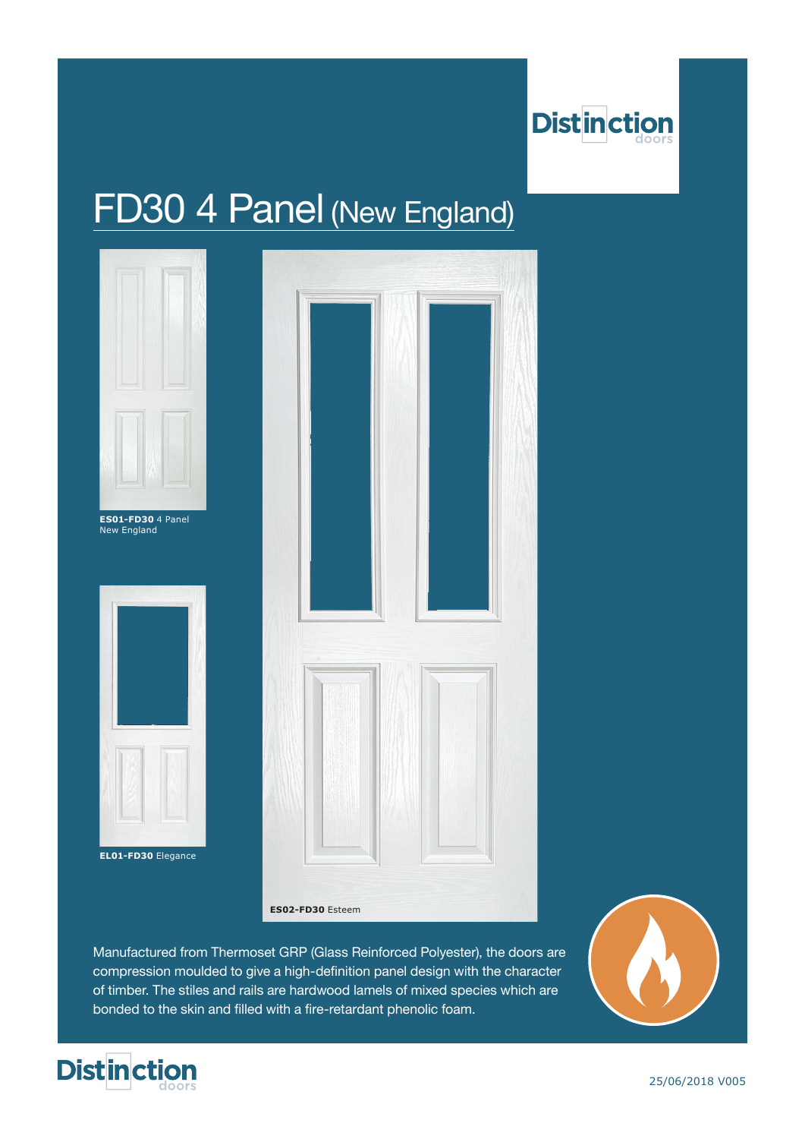

# FD30 4 Panel (New England)



**EL01-FD30** Elegance



**ES02-FD30** Esteem

Manufactured from Thermoset GRP (Glass Reinforced Polyester), the doors are compression moulded to give a high-definition panel design with the character of timber. The stiles and rails are hardwood lamels of mixed species which are bonded to the skin and filled with a fire-retardant phenolic foam.